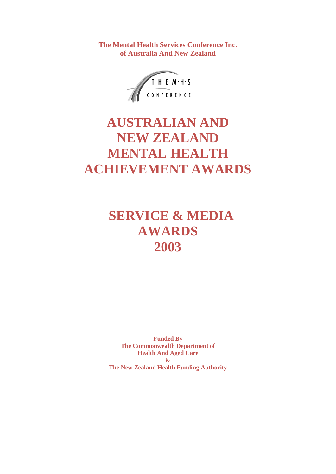**The Mental Health Services Conference Inc. of Australia And New Zealand**



# **AUSTRALIAN AND NEW ZEALAND MENTAL HEALTH ACHIEVEMENT AWARDS**

# **SERVICE & MEDIA AWARDS 2003**

**Funded By The Commonwealth Department of Health And Aged Care & The New Zealand Health Funding Authority**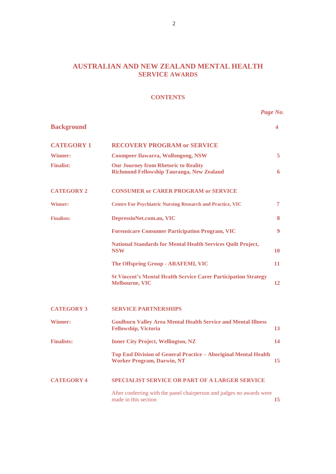# **AUSTRALIAN AND NEW ZEALAND MENTAL HEALTH SERVICE AWARDS**

#### **CONTENTS**

*Page No*.

| <b>Background</b> |                                                                                                      | 4  |
|-------------------|------------------------------------------------------------------------------------------------------|----|
| <b>CATEGORY 1</b> | <b>RECOVERY PROGRAM or SERVICE</b>                                                                   |    |
| <b>Winner:</b>    | <b>Coompeer Ilawarra, Wollongong, NSW</b>                                                            | 5  |
| <b>Finalist:</b>  | <b>Our Journey from Rhetoric to Reality</b><br><b>Richmond Fellowship Tauranga, New Zealand</b>      | 6  |
| <b>CATEGORY 2</b> | <b>CONSUMER or CARER PROGRAM or SERVICE</b>                                                          |    |
| <b>Winner:</b>    | <b>Centre For Psychiatric Nursing Research and Practice, VIC</b>                                     | 7  |
| <b>Finalists:</b> | DepressioNet.com.au, VIC                                                                             | 8  |
|                   | <b>Forensicare Consumer Participation Program, VIC</b>                                               | 9  |
|                   | <b>National Standards for Mental Health Services Quilt Project,</b><br><b>NSW</b>                    | 10 |
|                   | The Offspring Group - ARAFEMI, VIC                                                                   | 11 |
|                   | <b>St Vincent's Mental Health Service Carer Participation Strategy</b><br><b>Melbourne, VIC</b>      | 12 |
| <b>CATEGORY 3</b> | <b>SERVICE PARTNERSHIPS</b>                                                                          |    |
| <b>Winner:</b>    | <b>Goulburn Valley Area Mental Health Service and Mental Illness</b><br><b>Fellowship, Victoria</b>  | 13 |
| <b>Finalists:</b> | <b>Inner City Project, Wellington, NZ</b>                                                            | 14 |
|                   | Top End Division of General Practice - Aboriginal Mental Health<br><b>Worker Program, Darwin, NT</b> | 15 |
| <b>CATEGORY 4</b> | <b>SPECIALIST SERVICE OR PART OF A LARGER SERVICE</b>                                                |    |
|                   | After conferring with the panel chairperson and judges no awards were<br>made in this section        | 15 |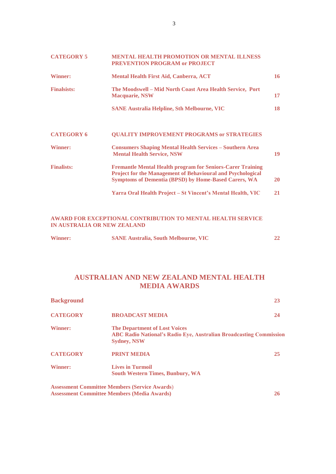| <b>CATEGORY 5</b>  | <b>MENTAL HEALTH PROMOTION OR MENTAL ILLNESS</b><br><b>PREVENTION PROGRAM or PROJECT</b>                                                                                                               |           |
|--------------------|--------------------------------------------------------------------------------------------------------------------------------------------------------------------------------------------------------|-----------|
| <b>Winner:</b>     | <b>Mental Health First Aid, Canberra, ACT</b>                                                                                                                                                          | 16        |
| <b>Finalsists:</b> | The Moodswell – Mid North Coast Area Health Service, Port<br><b>Macquarie, NSW</b>                                                                                                                     | 17        |
|                    | <b>SANE Australia Helpline, Sth Melbourne, VIC</b>                                                                                                                                                     | 18        |
| <b>CATEGORY 6</b>  | <b>QUALITY IMPROVEMENT PROGRAMS or STRATEGIES</b>                                                                                                                                                      |           |
| <b>Winner:</b>     | <b>Consumers Shaping Mental Health Services - Southern Area</b><br><b>Mental Health Service, NSW</b>                                                                                                   | 19        |
| <b>Finalists:</b>  | <b>Fremantle Mental Health program for Seniors-Carer Training</b><br><b>Project for the Management of Behavioural and Psychological</b><br><b>Symptoms of Dementia (BPSD) by Home-Based Carers, WA</b> | <b>20</b> |
|                    | Yarra Oral Health Project – St Vincent's Mental Health, VIC                                                                                                                                            | 21        |

#### **AWARD FOR EXCEPTIONAL CONTRIBUTION TO MENTAL HEALTH SERVICE IN AUSTRALIA OR NEW ZEALAND**

| <b>Winner:</b> | <b>SANE Australia, South Melbourne, VIC</b> |  |
|----------------|---------------------------------------------|--|
|                |                                             |  |

# **AUSTRALIAN AND NEW ZEALAND MENTAL HEALTH MEDIA AWARDS**

| <b>Background</b> |                                                                                                                                         | 23 |
|-------------------|-----------------------------------------------------------------------------------------------------------------------------------------|----|
| <b>CATEGORY</b>   | <b>BROADCAST MEDIA</b>                                                                                                                  | 24 |
| <b>Winner:</b>    | <b>The Department of Lost Voices</b><br><b>ABC Radio National's Radio Eye, Australian Broadcasting Commission</b><br><b>Sydney, NSW</b> |    |
| <b>CATEGORY</b>   | <b>PRINT MEDIA</b>                                                                                                                      | 25 |
| <b>Winner:</b>    | <b>Lives in Turmoil</b><br><b>South Western Times, Bunbury, WA</b>                                                                      |    |
|                   | <b>Assessment Committee Members (Service Awards)</b>                                                                                    |    |
|                   | <b>Assessment Committee Members (Media Awards)</b>                                                                                      | 26 |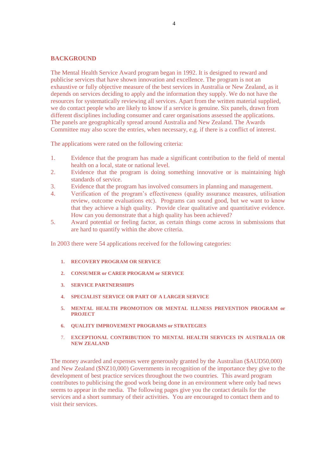#### **BACKGROUND**

The Mental Health Service Award program began in 1992. It is designed to reward and publicise services that have shown innovation and excellence. The program is not an exhaustive or fully objective measure of the best services in Australia or New Zealand, as it depends on services deciding to apply and the information they supply. We do not have the resources for systematically reviewing all services. Apart from the written material supplied, we do contact people who are likely to know if a service is genuine. Six panels, drawn from different disciplines including consumer and carer organisations assessed the applications. The panels are geographically spread around Australia and New Zealand. The Awards Committee may also score the entries, when necessary, e.g. if there is a conflict of interest.

The applications were rated on the following criteria:

- 1. Evidence that the program has made a significant contribution to the field of mental health on a local, state or national level.
- 2. Evidence that the program is doing something innovative or is maintaining high standards of service.
- 3. Evidence that the program has involved consumers in planning and management.
- 4. Verification of the program's effectiveness (quality assurance measures, utilisation review, outcome evaluations etc). Programs can sound good, but we want to know that they achieve a high quality. Provide clear qualitative and quantitative evidence. How can you demonstrate that a high quality has been achieved?
- 5. Award potential or feeling factor, as certain things come across in submissions that are hard to quantify within the above criteria.

In 2003 there were 54 applications received for the following categories:

- **1. RECOVERY PROGRAM OR SERVICE**
- **2. CONSUMER or CARER PROGRAM or SERVICE**
- **3. SERVICE PARTNERSHIPS**
- **4. SPECIALIST SERVICE OR PART OF A LARGER SERVICE**
- **5. MENTAL HEALTH PROMOTION OR MENTAL ILLNESS PREVENTION PROGRAM or PROJECT**
- **6. QUALITY IMPROVEMENT PROGRAMS or STRATEGIES**
- 7. **EXCEPTIONAL CONTRIBUTION TO MENTAL HEALTH SERVICES IN AUSTRALIA OR NEW ZEALAND**

The money awarded and expenses were generously granted by the Australian (\$AUD50,000) and New Zealand (\$NZ10,000) Governments in recognition of the importance they give to the development of best practice services throughout the two countries. This award program contributes to publicising the good work being done in an environment where only bad news seems to appear in the media. The following pages give you the contact details for the services and a short summary of their activities. You are encouraged to contact them and to visit their services.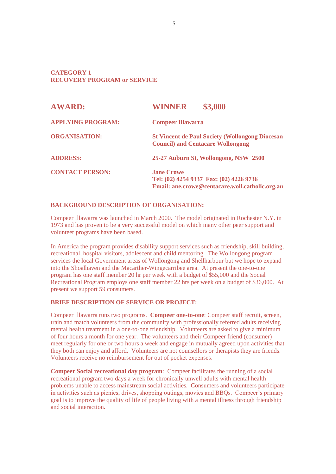#### **CATEGORY 1 RECOVERY PROGRAM or SERVICE**

| <b>AWARD:</b>            | \$3,000<br><b>WINNER</b>                                                                                        |
|--------------------------|-----------------------------------------------------------------------------------------------------------------|
| <b>APPLYING PROGRAM:</b> | <b>Compeer Illawarra</b>                                                                                        |
| <b>ORGANISATION:</b>     | <b>St Vincent de Paul Society (Wollongong Diocesan</b><br><b>Council) and Centacare Wollongong</b>              |
| <b>ADDRESS:</b>          | 25-27 Auburn St, Wollongong, NSW 2500                                                                           |
| <b>CONTACT PERSON:</b>   | <b>Jane Crowe</b><br>Tel: (02) 4254 9337 Fax: (02) 4226 9736<br>Email: ane.crowe@centacare.woll.catholic.org.au |

#### **BACKGROUND DESCRIPTION OF ORGANISATION:**

Compeer Illawarra was launched in March 2000. The model originated in Rochester N.Y. in 1973 and has proven to be a very successful model on which many other peer support and volunteer programs have been based.

In America the program provides disability support services such as friendship, skill building, recreational, hospital visitors, adolescent and child mentoring. The Wollongong program services the local Government areas of Wollongong and Shellharbour but we hope to expand into the Shoalhaven and the Macarther-Wingecarribee area. At present the one-to-one program has one staff member 20 hr per week with a budget of \$55,000 and the Social Recreational Program employs one staff member 22 hrs per week on a budget of \$36,000. At present we support 59 consumers.

#### **BRIEF DESCRIPTION OF SERVICE OR PROJECT:**

Compeer Illawarra runs two programs. **Compeer one-to-one**: Compeer staff recruit, screen, train and match volunteers from the community with professionally referred adults receiving mental health treatment in a one-to-one friendship. Volunteers are asked to give a minimum of four hours a month for one year. The volunteers and their Compeer friend (consumer) meet regularly for one or two hours a week and engage in mutually agreed upon activities that they both can enjoy and afford. Volunteers are not counsellors or therapists they are friends. Volunteers receive no reimbursement for out of pocket expenses.

**Compeer Social recreational day program**: Compeer facilitates the running of a social recreational program two days a week for chronically unwell adults with mental health problems unable to access mainstream social activities. Consumers and volunteers participate in activities such as picnics, drives, shopping outings, movies and BBQs. Compeer's primary goal is to improve the quality of life of people living with a mental illness through friendship and social interaction.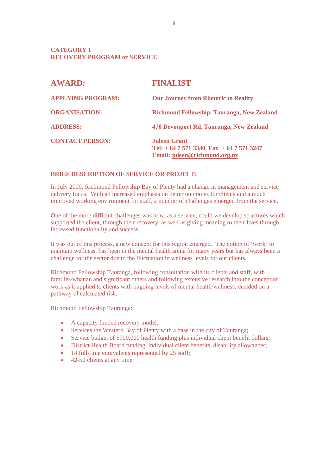#### **CATEGORY 1 RECOVERY PROGRAM or SERVICE**

| <b>AWARD:</b>            | <b>FINALIST</b>                                                                                     |
|--------------------------|-----------------------------------------------------------------------------------------------------|
| <b>APPLYING PROGRAM:</b> | <b>Our Journey from Rhetoric to Reality</b>                                                         |
| <b>ORGANISATION:</b>     | Richmond Fellowship, Tauranga, New Zealand                                                          |
| <b>ADDRESS:</b>          | 470 Devonport Rd, Tauranga, New Zealand                                                             |
| <b>CONTACT PERSON:</b>   | <b>Juleen Grant</b><br>Tel: $+6475713340 \text{ Fax} + 6475713247$<br>Email: juleen@richmond.org.nz |

#### **BRIEF DESCRIPTION OF SERVICE OR PROJECT:**

In July 2000, Richmond Fellowship Bay of Plenty had a change in management and service delivery focus. With an increased emphasis on better outcomes for clients and a much improved working environment for staff, a number of challenges emerged from the service.

One of the more difficult challenges was how, as a service, could we develop structures which supported the client, through their recovery, as well as giving meaning to their lives through increased functionality and success.

It was out of this process, a new concept for this region emerged. The notion of 'work' to maintain wellness, has been in the mental health arena for many years but has always been a challenge for the sector due to the fluctuation in wellness levels for our clients.

Richmond Fellowship Tauranga, following consultation with its clients and staff, with families/whanau and significant others and following extensive research into the concept of work as it applied to clients with ongoing levels of mental health/wellness, decided on a pathway of calculated risk.

Richmond Fellowship Tauranga:

- A capacity funded recovery model;
- Services the Western Bay of Plenty with a base in the city of Tauranga;
- Service budget of \$900,000 health funding plus individual client benefit dollars;
- District Health Board funding, individual client benefits, disability allowances;
- 14 full-time equivalents represented by 25 staff;
- $\bullet$  42-50 clients at any time.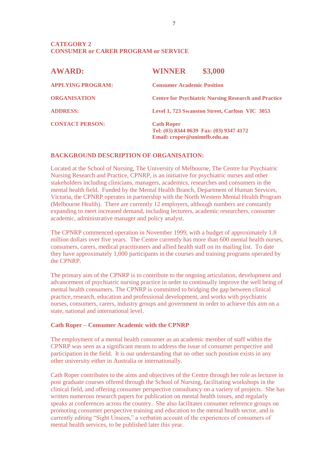| <b>AWARD:</b>            | <b>WINNER</b>                                                                                | \$3,000                                                     |
|--------------------------|----------------------------------------------------------------------------------------------|-------------------------------------------------------------|
| <b>APPLYING PROGRAM:</b> | <b>Consumer Academic Position</b>                                                            |                                                             |
| <b>ORGANISATION</b>      |                                                                                              | <b>Centre for Psychiatric Nursing Research and Practice</b> |
| <b>ADDRESS:</b>          |                                                                                              | Level 1, 723 Swanston Street, Carlton VIC 3053              |
| <b>CONTACT PERSON:</b>   | <b>Cath Roper</b><br>Tel: (03) 8344 0639 Fax: (03) 9347 4172<br>Email: croper@unimelb.edu.au |                                                             |

#### **BACKGROUND DESCRIPTION OF ORGANISATION:**

Located at the School of Nursing, The University of Melbourne, The Centre for Psychiatric Nursing Research and Practice, CPNRP, is an initiative for psychiatric nurses and other stakeholders including clinicians, managers, academics, researches and consumers in the mental health field. Funded by the Mental Health Branch, Department of Human Services, Victoria, the CPNRP operates in partnership with the North Western Mental Health Program (Melbourne Health). There are currently 12 employers, although numbers are constantly expanding to meet increased demand, including lecturers, academic researchers, consumer academic, administrative manager and policy analyst.

The CPNRP commenced operation in November 1999, with a budget of approximately 1.8 million dollars over five years. The Centre currently has more than 600 mental health nurses, consumers, carers, medical practitioners and allied health staff on its mailing list. To date they have approximately 1,000 participants in the courses and training programs operated by the CPNRP.

The primary aim of the CPNRP is to contribute to the ongoing articulation, development and advancement of psychiatric nursing practice in order to continually improve the well being of mental health consumers. The CPNRP is committed to bridging the gap between clinical practice, research, education and professional development, and works with psychiatric nurses, consumers, carers, industry groups and government in order to achieve this aim on a state, national and international level.

#### **Cath Roper – Consumer Academic with the CPNRP**

The employment of a mental health consumer as an academic member of staff within the CPNRP was seen as a significant means to address the issue of consumer perspective and participation in the field. It is our understanding that no other such position exists in any other university either in Australia or internationally.

Cath Roper contributes to the aims and objectives of the Centre through her role as lecturer in post graduate courses offered through the School of Nursing, facilitating workshops in the clinical field, and offering consumer perspective consultancy on a variety of projects. She has written numerous research papers for publication on mental health issues, and regularly speaks at conferences across the country. She also facilitates consumer reference groups on promoting consumer perspective training and education to the mental health sector, and is currently editing "Sight Unseen," a verbatim account of the experiences of consumers of mental health services, to be published later this year.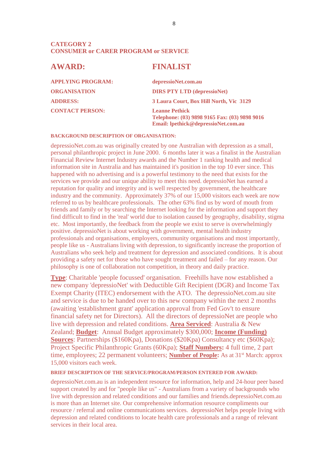| <b>FINALIST</b>                                                                                               |
|---------------------------------------------------------------------------------------------------------------|
| depressioNet.com.au                                                                                           |
| <b>DIRS PTY LTD (depressioNet)</b>                                                                            |
| 3 Laura Court, Box Hill North, Vic 3129                                                                       |
| <b>Leanne Pethick</b><br>Telephone: (03) 9898 9165 Fax: (03) 9898 9016<br>Email: lpethick@depressioNet.com.au |
|                                                                                                               |

#### **BACKGROUND DESCRIPTION OF ORGANISATION:**

depressioNet.com.au was originally created by one Australian with depression as a small, personal philanthropic project in June 2000. 6 months later it was a finalist in the Australian Financial Review Internet Industry awards and the Number 1 ranking health and medical information site in Australia and has maintained it's position in the top 10 ever since. This happened with no advertising and is a powerful testimony to the need that exists for the services we provide and our unique ability to meet this need. depressioNet has earned a reputation for quality and integrity and is well respected by government, the healthcare industry and the community. Approximately 37% of our 15,000 visitors each week are now referred to us by healthcare professionals. The other 63% find us by word of mouth from friends and family or by searching the Internet looking for the information and support they find difficult to find in the 'real' world due to isolation caused by geography, disability, stigma etc. Most importantly, the feedback from the people we exist to serve is overwhelmingly positive. depressioNet is about working with government, mental health industry professionals and organisations, employers, community organisations and most importantly, people like us - Australians living with depression, to significantly increase the proportion of Australians who seek help and treatment for depression and associated conditions. It is about providing a safety net for those who have sought treatment and failed – for any reason. Our philosophy is one of collaboration not competition, in theory and daily practice.

**Type**: Charitable 'people focussed' organisation. Freehills have now established a new company 'depressioNet' with Deductible Gift Recipient (DGR) and Income Tax Exempt Charity (ITEC) endorsement with the ATO. The depressioNet.com.au site and service is due to be handed over to this new company within the next 2 months (awaiting 'establishment grant' application approval from Fed Gov't to ensure financial safety net for Directors). All the directors of depressioNet are people who live with depression and related conditions. **Area Serviced**: Australia & New Zealand; **Budget**: Annual Budget approximately \$300,000; **Income (Funding) Sources**: Partnerships (\$160Kpa), Donations (\$20Kpa) Consultancy etc (\$60Kpa); Project Specific Philanthropic Grants (60Kpa); **Staff Numbers:** 4 full time, 2 part time, employees; 22 permanent volunteers; **Number of People:** As at 31<sup>st</sup> March: approx 15,000 visitors each week.

#### **BRIEF DESCRIPTION OF THE SERVICE/PROGRAM/PERSON ENTERED FOR AWARD:**

depressioNet.com.au is an independent resource for information, help and 24-hour peer based support created by and for "people like us" - Australians from a variety of backgrounds who live with depression and related conditions and our families and friends.depressioNet.com.au is more than an Internet site. Our comprehensive information resource compliments our resource / referral and online communications services. depressioNet helps people living with depression and related conditions to locate health care professionals and a range of relevant services in their local area.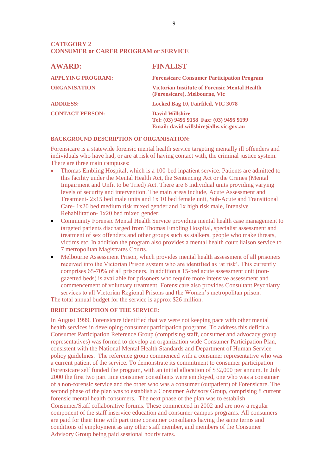| <b>AWARD:</b>            | <b>FINALIST</b>                                                                                            |
|--------------------------|------------------------------------------------------------------------------------------------------------|
| <b>APPLYING PROGRAM:</b> | <b>Forensicare Consumer Participation Program</b>                                                          |
| <b>ORGANISATION</b>      | <b>Victorian Institute of Forensic Mental Health</b><br>(Forensicare), Melbourne, Vic                      |
| <b>ADDRESS:</b>          | Locked Bag 10, Fairfiled, VIC 3078                                                                         |
| <b>CONTACT PERSON:</b>   | <b>David Willshire</b><br>Tel: (03) 9495 9158 Fax: (03) 9495 9199<br>Email: david.willshire@dhs.vic.gov.au |

#### **BACKGROUND DESCRIPTION OF ORGANISATION:**

Forensicare is a statewide forensic mental health service targeting mentally ill offenders and individuals who have had, or are at risk of having contact with, the criminal justice system. There are three main campuses:

- Thomas Embling Hospital, which is a 100-bed inpatient service. Patients are admitted to this facility under the Mental Health Act, the Sentencing Act or the Crimes (Mental Impairment and Unfit to be Tried) Act. There are 6 individual units providing varying levels of security and intervention. The main areas include, Acute Assessment and Treatment- 2x15 bed male units and 1x 10 bed female unit, Sub-Acute and Transitional Care- 1x20 bed medium risk mixed gender and 1x high risk male, Intensive Rehabilitation- 1x20 bed mixed gender;
- Community Forensic Mental Health Service providing mental health case management to targeted patients discharged from Thomas Embling Hospital, specialist assessment and treatment of sex offenders and other groups such as stalkers, people who make threats, victims etc. In addition the program also provides a mental health court liaison service to 7 metropolitan Magistrates Courts.
- Melbourne Assessment Prison, which provides mental health assessment of all prisoners received into the Victorian Prison system who are identified as 'at risk'. This currently comprises 65-70% of all prisoners. In addition a 15-bed acute assessment unit (nongazetted beds) is available for prisoners who require more intensive assessment and commencement of voluntary treatment. Forensicare also provides Consultant Psychiatry services to all Victorian Regional Prisons and the Women's metropolitan prison.

The total annual budget for the service is approx \$26 million.

#### **BRIEF DESCRIPTION OF THE SERVICE**:

In August 1999, Forensicare identified that we were not keeping pace with other mental health services in developing consumer participation programs. To address this deficit a Consumer Participation Reference Group (comprising staff, consumer and advocacy group representatives) was formed to develop an organization wide Consumer Participation Plan, consistent with the National Mental Health Standards and Department of Human Service policy guidelines. The reference group commenced with a consumer representative who was a current patient of the service. To demonstrate its commitment to consumer participation Forensicare self funded the program, with an initial allocation of \$32,000 per annum. In July 2000 the first two part time consumer consultants were employed, one who was a consumer of a non-forensic service and the other who was a consumer (outpatient) of Forensicare. The second phase of the plan was to establish a Consumer Advisory Group, comprising 8 current forensic mental health consumers. The next phase of the plan was to establish Consumer/Staff collaborative forums. These commenced in 2002 and are now a regular component of the staff inservice education and consumer campus programs. All consumers are paid for their time with part time consumer consultants having the same terms and conditions of employment as any other staff member, and members of the Consumer Advisory Group being paid sessional hourly rates.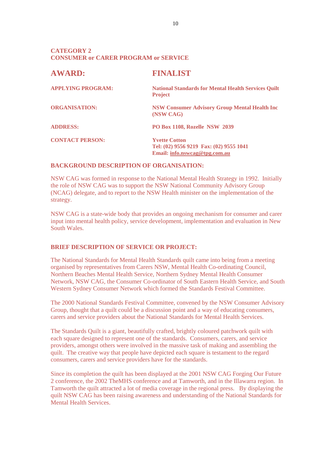| <b>AWARD:</b>            | <b>FINALIST</b>                                                                                  |
|--------------------------|--------------------------------------------------------------------------------------------------|
| <b>APPLYING PROGRAM:</b> | <b>National Standards for Mental Health Services Quilt</b><br><b>Project</b>                     |
| <b>ORGANISATION:</b>     | <b>NSW Consumer Advisory Group Mental Health Inc.</b><br>(NSW CAG)                               |
| <b>ADDRESS:</b>          | PO Box 1108, Rozelle NSW 2039                                                                    |
| <b>CONTACT PERSON:</b>   | <b>Yvette Cotton</b><br>Tel: (02) 9556 9219 Fax: (02) 9555 1041<br>Email: info.nswcag@tpg.com.au |

#### **BACKGROUND DESCRIPTION OF ORGANISATION:**

NSW CAG was formed in response to the National Mental Health Strategy in 1992. Initially the role of NSW CAG was to support the NSW National Community Advisory Group (NCAG) delegate, and to report to the NSW Health minister on the implementation of the strategy.

NSW CAG is a state-wide body that provides an ongoing mechanism for consumer and carer input into mental health policy, service development, implementation and evaluation in New South Wales.

#### **BRIEF DESCRIPTION OF SERVICE OR PROJECT:**

The National Standards for Mental Health Standards quilt came into being from a meeting organised by representatives from Carers NSW, Mental Health Co-ordinating Council, Northern Beaches Mental Health Service, Northern Sydney Mental Health Consumer Network, NSW CAG, the Consumer Co-ordinator of South Eastern Health Service, and South Western Sydney Consumer Network which formed the Standards Festival Committee.

The 2000 National Standards Festival Committee, convened by the NSW Consumer Advisory Group, thought that a quilt could be a discussion point and a way of educating consumers, carers and service providers about the National Standards for Mental Health Services.

The Standards Quilt is a giant, beautifully crafted, brightly coloured patchwork quilt with each square designed to represent one of the standards. Consumers, carers, and service providers, amongst others were involved in the massive task of making and assembling the quilt. The creative way that people have depicted each square is testament to the regard consumers, carers and service providers have for the standards.

Since its completion the quilt has been displayed at the 2001 NSW CAG Forging Our Future 2 conference, the 2002 TheMHS conference and at Tamworth, and in the Illawarra region. In Tamworth the quilt attracted a lot of media coverage in the regional press. By displaying the quilt NSW CAG has been raising awareness and understanding of the National Standards for Mental Health Services.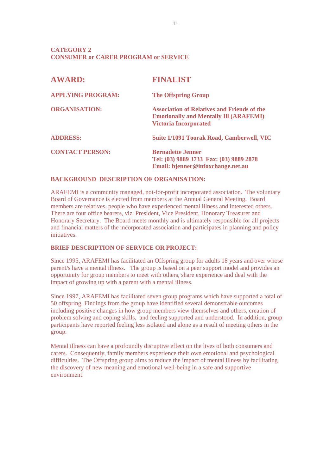| <b>AWARD:</b>            | <b>FINALIST</b>                                                                                                                     |
|--------------------------|-------------------------------------------------------------------------------------------------------------------------------------|
| <b>APPLYING PROGRAM:</b> | <b>The Offspring Group</b>                                                                                                          |
| <b>ORGANISATION:</b>     | <b>Association of Relatives and Friends of the</b><br><b>Emotionally and Mentally III (ARAFEMI)</b><br><b>Victoria Incorporated</b> |
| <b>ADDRESS:</b>          | <b>Suite 1/1091 Toorak Road, Camberwell, VIC</b>                                                                                    |
| <b>CONTACT PERSON:</b>   | <b>Bernadette Jenner</b><br>Tel: (03) 9889 3733 Fax: (03) 9889 2878<br>Email: bjenner@infoxchange.net.au                            |

#### **BACKGROUND DESCRIPTION OF ORGANISATION:**

ARAFEMI is a community managed, not-for-profit incorporated association. The voluntary Board of Governance is elected from members at the Annual General Meeting. Board members are relatives, people who have experienced mental illness and interested others. There are four office bearers, viz. President, Vice President, Honorary Treasurer and Honorary Secretary. The Board meets monthly and is ultimately responsible for all projects and financial matters of the incorporated association and participates in planning and policy initiatives.

#### **BRIEF DESCRIPTION OF SERVICE OR PROJECT:**

Since 1995, ARAFEMI has facilitated an Offspring group for adults 18 years and over whose parent/s have a mental illness. The group is based on a peer support model and provides an opportunity for group members to meet with others, share experience and deal with the impact of growing up with a parent with a mental illness.

Since 1997, ARAFEMI has facilitated seven group programs which have supported a total of 50 offspring. Findings from the group have identified several demonstrable outcomes including positive changes in how group members view themselves and others, creation of problem solving and coping skills, and feeling supported and understood. In addition, group participants have reported feeling less isolated and alone as a result of meeting others in the group.

Mental illness can have a profoundly disruptive effect on the lives of both consumers and carers. Consequently, family members experience their own emotional and psychological difficulties. The Offspring group aims to reduce the impact of mental illness by facilitating the discovery of new meaning and emotional well-being in a safe and supportive environment.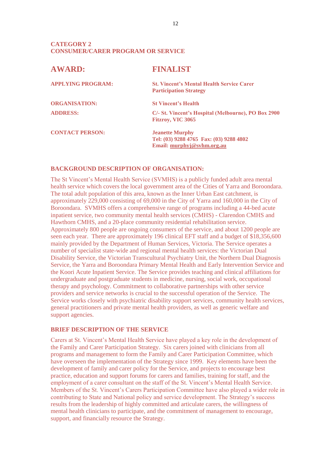#### **CATEGORY 2 CONSUMER/CARER PROGRAM OR SERVICE**

| <b>AWARD:</b>            | <b>FINALIST</b>                                                                                 |
|--------------------------|-------------------------------------------------------------------------------------------------|
| <b>APPLYING PROGRAM:</b> | <b>St. Vincent's Mental Health Service Carer</b><br><b>Participation Strategy</b>               |
| <b>ORGANISATION:</b>     | <b>St Vincent's Health</b>                                                                      |
| <b>ADDRESS:</b>          | C/- St. Vincent's Hospital (Melbourne), PO Box 2900<br>Fitzroy, VIC 3065                        |
| <b>CONTACT PERSON:</b>   | <b>Jeanette Murphy</b><br>Tel: (03) 9288 4765 Fax: (03) 9288 4802<br>Email: murphyj@syhm.org.au |

#### **BACKGROUND DESCRIPTION OF ORGANISATION:**

The St Vincent's Mental Health Service (SVMHS) is a publicly funded adult area mental health service which covers the local government area of the Cities of Yarra and Boroondara. The total adult population of this area, known as the Inner Urban East catchment, is approximately 229,000 consisting of 69,000 in the City of Yarra and 160,000 in the City of Boroondara. SVMHS offers a comprehensive range of programs including a 44-bed acute inpatient service, two community mental health services (CMHS) - Clarendon CMHS and Hawthorn CMHS, and a 20-place community residential rehabilitation service. Approximately 800 people are ongoing consumers of the service, and about 1200 people are seen each year. There are approximately 196 clinical EFT staff and a budget of \$18,356,600 mainly provided by the Department of Human Services, Victoria. The Service operates a number of specialist state-wide and regional mental health services: the Victorian Dual Disability Service, the Victorian Transcultural Psychiatry Unit, the Northern Dual Diagnosis Service, the Yarra and Boroondara Primary Mental Health and Early Intervention Service and the Koori Acute Inpatient Service. The Service provides teaching and clinical affiliations for undergraduate and postgraduate students in medicine, nursing, social work, occupational therapy and psychology. Commitment to collaborative partnerships with other service providers and service networks is crucial to the successful operation of the Service. The Service works closely with psychiatric disability support services, community health services, general practitioners and private mental health providers, as well as generic welfare and support agencies.

#### **BRIEF DESCRIPTION OF THE SERVICE**

Carers at St. Vincent's Mental Health Service have played a key role in the development of the Family and Carer Participation Strategy. Six carers joined with clinicians from all programs and management to form the Family and Carer Participation Committee, which have overseen the implementation of the Strategy since 1999. Key elements have been the development of family and carer policy for the Service, and projects to encourage best practice, education and support forums for carers and families, training for staff, and the employment of a carer consultant on the staff of the St. Vincent's Mental Health Service. Members of the St. Vincent's Carers Participation Committee have also played a wider role in contributing to State and National policy and service development. The Strategy's success results from the leadership of highly committed and articulate carers, the willingness of mental health clinicians to participate, and the commitment of management to encourage, support, and financially resource the Strategy.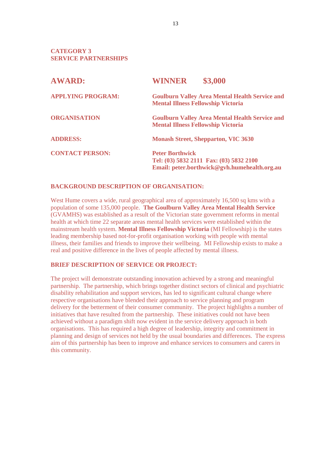**CATEGORY 3 SERVICE PARTNERSHIPS**

| <b>AWARD:</b>            | \$3,000<br><b>WINNER</b>                                                                                          |
|--------------------------|-------------------------------------------------------------------------------------------------------------------|
| <b>APPLYING PROGRAM:</b> | <b>Goulburn Valley Area Mental Health Service and</b><br><b>Mental Illness Fellowship Victoria</b>                |
| <b>ORGANISATION</b>      | <b>Goulburn Valley Area Mental Health Service and</b><br><b>Mental Illness Fellowship Victoria</b>                |
| <b>ADDRESS:</b>          | <b>Monash Street, Shepparton, VIC 3630</b>                                                                        |
| <b>CONTACT PERSON:</b>   | <b>Peter Borthwick</b><br>Tel: (03) 5832 2111 Fax: (03) 5832 2100<br>Email: peter.borthwick@gvh.humehealth.org.au |

#### **BACKGROUND DESCRIPTION OF ORGANISATION:**

West Hume covers a wide, rural geographical area of approximately 16,500 sq kms with a population of some 135,000 people. **The Goulburn Valley Area Mental Health Service** (GVAMHS) was established as a result of the Victorian state government reforms in mental health at which time 22 separate areas mental health services were established within the mainstream health system. **Mental Illness Fellowship Victoria** (MI Fellowship) is the states leading membership based not-for-profit organisation working with people with mental illness, their families and friends to improve their wellbeing. MI Fellowship exists to make a real and positive difference in the lives of people affected by mental illness.

#### **BRIEF DESCRIPTION OF SERVICE OR PROJECT:**

The project will demonstrate outstanding innovation achieved by a strong and meaningful partnership. The partnership, which brings together distinct sectors of clinical and psychiatric disability rehabilitation and support services, has led to significant cultural change where respective organisations have blended their approach to service planning and program delivery for the betterment of their consumer community. The project highlights a number of initiatives that have resulted from the partnership. These initiatives could not have been achieved without a paradigm shift now evident in the service delivery approach in both organisations. This has required a high degree of leadership, integrity and commitment in planning and design of services not held by the usual boundaries and differences. The express aim of this partnership has been to improve and enhance services to consumers and carers in this community.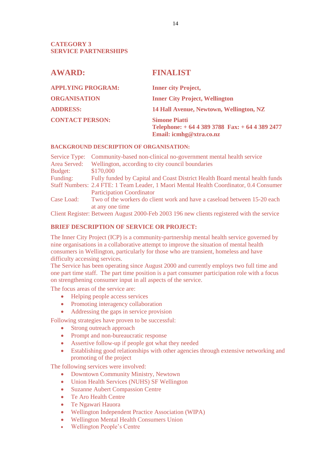#### **CATEGORY 3 SERVICE PARTNERSHIPS**

| <b>AWARD:</b>            | <b>FINALIST</b>                                                                                  |
|--------------------------|--------------------------------------------------------------------------------------------------|
| <b>APPLYING PROGRAM:</b> | <b>Inner city Project,</b>                                                                       |
| <b>ORGANISATION</b>      | <b>Inner City Project, Wellington</b>                                                            |
| <b>ADDRESS:</b>          | 14 Hall Avenue, Newtown, Wellington, NZ                                                          |
| <b>CONTACT PERSON:</b>   | <b>Simone Piatti</b><br>Telephone: $+ 6443893788$ Fax: $+ 6443892477$<br>Email: icmhg@xtra.co.nz |

#### **BACKGROUND DESCRIPTION OF ORGANISATION:**

| Service Type: Community-based non-clinical no-government mental health service         |
|----------------------------------------------------------------------------------------|
| Wellington, according to city council boundaries                                       |
| \$170,000                                                                              |
| Fully funded by Capital and Coast District Health Board mental health funds            |
| Staff Numbers: 2.4 FTE: 1 Team Leader, 1 Maori Mental Health Coordinator, 0.4 Consumer |
| <b>Participation Coordinator</b>                                                       |
| Two of the workers do client work and have a caseload between 15-20 each               |
| at any one time                                                                        |
|                                                                                        |

Client Register: Between August 2000-Feb 2003 196 new clients registered with the service

#### **BRIEF DESCRIPTION OF SERVICE OR PROJECT:**

The Inner City Project (ICP) is a community-partnership mental health service governed by nine organisations in a collaborative attempt to improve the situation of mental health consumers in Wellington, particularly for those who are transient, homeless and have difficulty accessing services.

The Service has been operating since August 2000 and currently employs two full time and one part time staff. The part time position is a part consumer participation role with a focus on strengthening consumer input in all aspects of the service.

The focus areas of the service are:

- Helping people access services
- Promoting interagency collaboration
- Addressing the gaps in service provision

Following strategies have proven to be successful:

- Strong outreach approach
- Prompt and non-bureaucratic response
- Assertive follow-up if people got what they needed
- Establishing good relationships with other agencies through extensive networking and promoting of the project

The following services were involved:

- Downtown Community Ministry, Newtown
- Union Health Services (NUHS) SF Wellington
- Suzanne Aubert Compassion Centre
- Te Aro Health Centre
- Te Ngawari Hauora
- Wellington Independent Practice Association (WIPA)
- Wellington Mental Health Consumers Union
- Wellington People's Centre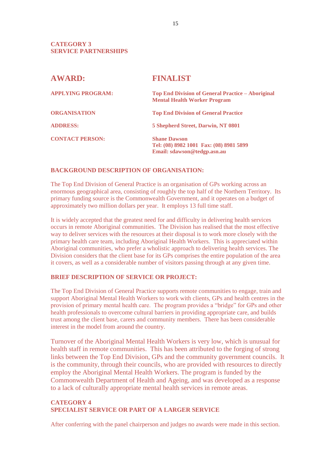#### **CATEGORY 3 SERVICE PARTNERSHIPS**

| <b>AWARD:</b>            | <b>FINALIST</b>                                                                               |
|--------------------------|-----------------------------------------------------------------------------------------------|
| <b>APPLYING PROGRAM:</b> | Top End Division of General Practice – Aboriginal<br><b>Mental Health Worker Program</b>      |
| <b>ORGANISATION</b>      | <b>Top End Division of General Practice</b>                                                   |
| <b>ADDRESS:</b>          | 5 Shepherd Street, Darwin, NT 0801                                                            |
| <b>CONTACT PERSON:</b>   | <b>Shane Dawson</b><br>Tel: (08) 8982 1001 Fax: (08) 8981 5899<br>Email: sdawson@tedgp.asn.au |

#### **BACKGROUND DESCRIPTION OF ORGANISATION:**

The Top End Division of General Practice is an organisation of GPs working across an enormous geographical area, consisting of roughly the top half of the Northern Territory. Its primary funding source is the Commonwealth Government, and it operates on a budget of approximately two million dollars per year. It employs 13 full time staff.

It is widely accepted that the greatest need for and difficulty in delivering health services occurs in remote Aboriginal communities. The Division has realised that the most effective way to deliver services with the resources at their disposal is to work more closely with the primary health care team, including Aboriginal Health Workers. This is appreciated within Aboriginal communities, who prefer a wholistic approach to delivering health services. The Division considers that the client base for its GPs comprises the entire population of the area it covers, as well as a considerable number of visitors passing through at any given time.

#### **BRIEF DESCRIPTION OF SERVICE OR PROJECT:**

The Top End Division of General Practice supports remote communities to engage, train and support Aboriginal Mental Health Workers to work with clients, GPs and health centres in the provision of primary mental health care. The program provides a "bridge" for GPs and other health professionals to overcome cultural barriers in providing appropriate care, and builds trust among the client base, carers and community members. There has been considerable interest in the model from around the country.

Turnover of the Aboriginal Mental Health Workers is very low, which is unusual for health staff in remote communities. This has been attributed to the forging of strong links between the Top End Division, GPs and the community government councils. It is the community, through their councils, who are provided with resources to directly employ the Aboriginal Mental Health Workers. The program is funded by the Commonwealth Department of Health and Ageing, and was developed as a response to a lack of culturally appropriate mental health services in remote areas.

#### **CATEGORY 4 SPECIALIST SERVICE OR PART OF A LARGER SERVICE**

After conferring with the panel chairperson and judges no awards were made in this section.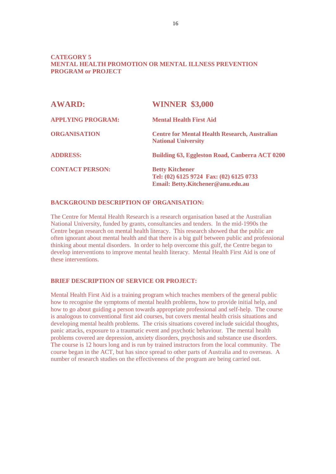#### **CATEGORY 5 MENTAL HEALTH PROMOTION OR MENTAL ILLNESS PREVENTION PROGRAM or PROJECT**

| <b>AWARD:</b>            | <b>WINNER \$3,000</b>                                                                                  |
|--------------------------|--------------------------------------------------------------------------------------------------------|
| <b>APPLYING PROGRAM:</b> | <b>Mental Health First Aid</b>                                                                         |
| <b>ORGANISATION</b>      | <b>Centre for Mental Health Research, Australian</b><br><b>National University</b>                     |
| <b>ADDRESS:</b>          | <b>Building 63, Eggleston Road, Canberra ACT 0200</b>                                                  |
| <b>CONTACT PERSON:</b>   | <b>Betty Kitchener</b><br>Tel: (02) 6125 9724 Fax: (02) 6125 0733<br>Email: Betty.Kitchener@anu.edu.au |

#### **BACKGROUND DESCRIPTION OF ORGANISATION:**

The Centre for Mental Health Research is a research organisation based at the Australian National University, funded by grants, consultancies and tenders. In the mid-1990s the Centre began research on mental health literacy. This research showed that the public are often ignorant about mental health and that there is a big gulf between public and professional thinking about mental disorders. In order to help overcome this gulf, the Centre began to develop interventions to improve mental health literacy. Mental Health First Aid is one of these interventions.

#### **BRIEF DESCRIPTION OF SERVICE OR PROJECT:**

Mental Health First Aid is a training program which teaches members of the general public how to recognise the symptoms of mental health problems, how to provide initial help, and how to go about guiding a person towards appropriate professional and self-help. The course is analogous to conventional first aid courses, but covers mental health crisis situations and developing mental health problems. The crisis situations covered include suicidal thoughts, panic attacks, exposure to a traumatic event and psychotic behaviour. The mental health problems covered are depression, anxiety disorders, psychosis and substance use disorders. The course is 12 hours long and is run by trained instructors from the local community. The course began in the ACT, but has since spread to other parts of Australia and to overseas. A number of research studies on the effectiveness of the program are being carried out.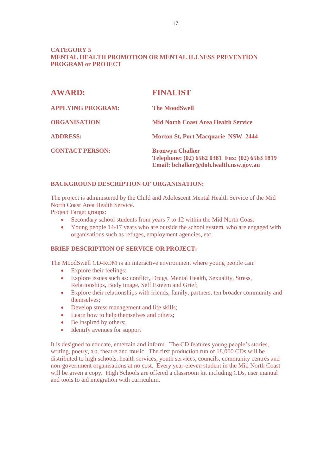#### **CATEGORY 5 MENTAL HEALTH PROMOTION OR MENTAL ILLNESS PREVENTION PROGRAM or PROJECT**

| <b>AWARD:</b>            | <b>FINALIST</b>                                                                                                  |
|--------------------------|------------------------------------------------------------------------------------------------------------------|
| <b>APPLYING PROGRAM:</b> | <b>The MoodSwell</b>                                                                                             |
| <b>ORGANISATION</b>      | <b>Mid North Coast Area Health Service</b>                                                                       |
| <b>ADDRESS:</b>          | <b>Morton St, Port Macquarie NSW 2444</b>                                                                        |
| <b>CONTACT PERSON:</b>   | <b>Bronwyn Chalker</b><br>Telephone: (02) 6562 0381 Fax: (02) 6563 1819<br>Email: bchalker@doh.health.nsw.gov.au |

#### **BACKGROUND DESCRIPTION OF ORGANISATION:**

The project is administered by the Child and Adolescent Mental Health Service of the Mid North Coast Area Health Service.

Project Target groups:

- Secondary school students from years 7 to 12 within the Mid North Coast
- Young people 14-17 years who are outside the school system, who are engaged with organisations such as refuges, employment agencies, etc.

#### **BRIEF DESCRIPTION OF SERVICE OR PROJECT:**

The MoodSwell CD-ROM is an interactive environment where young people can:

- Explore their feelings:
- Explore issues such as: conflict, Drugs, Mental Health, Sexuality, Stress, Relationships, Body image, Self Esteem and Grief;
- Explore their relationships with friends, family, partners, ten broader community and themselves;
- Develop stress management and life skills;
- Learn how to help themselves and others;
- Be inspired by others;
- Identify avenues for support

It is designed to educate, entertain and inform. The CD features young people's stories, writing, poetry, art, theatre and music. The first production run of 18,000 CDs will be distributed to high schools, health services, youth services, councils, community centres and non-government organisations at no cost. Every year-eleven student in the Mid North Coast will be given a copy. High Schools are offered a classroom kit including CDs, user manual and tools to aid integration with curriculum.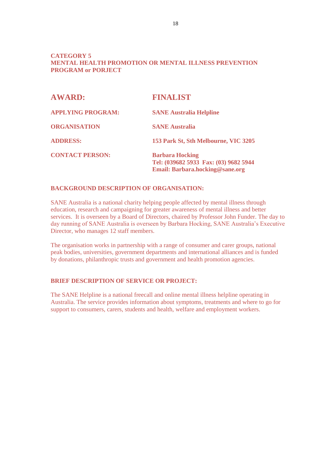#### **CATEGORY 5 MENTAL HEALTH PROMOTION OR MENTAL ILLNESS PREVENTION PROGRAM or PORJECT**

| <b>AWARD:</b>            | <b>FINALIST</b>                                                                                    |
|--------------------------|----------------------------------------------------------------------------------------------------|
| <b>APPLYING PROGRAM:</b> | <b>SANE Australia Helpline</b>                                                                     |
| <b>ORGANISATION</b>      | <b>SANE Australia</b>                                                                              |
| <b>ADDRESS:</b>          | 153 Park St, Sth Melbourne, VIC 3205                                                               |
| <b>CONTACT PERSON:</b>   | <b>Barbara Hocking</b><br>Tel: (039682 5933 Fax: (03) 9682 5944<br>Email: Barbara.hocking@sane.org |

#### **BACKGROUND DESCRIPTION OF ORGANISATION:**

SANE Australia is a national charity helping people affected by mental illness through education, research and campaigning for greater awareness of mental illness and better services. It is overseen by a Board of Directors, chaired by Professor John Funder. The day to day running of SANE Australia is overseen by Barbara Hocking, SANE Australia's Executive Director, who manages 12 staff members.

The organisation works in partnership with a range of consumer and carer groups, national peak bodies, universities, government departments and international alliances and is funded by donations, philanthropic trusts and government and health promotion agencies.

### **BRIEF DESCRIPTION OF SERVICE OR PROJECT:**

The SANE Helpline is a national freecall and online mental illness helpline operating in Australia. The service provides information about symptoms, treatments and where to go for support to consumers, carers, students and health, welfare and employment workers.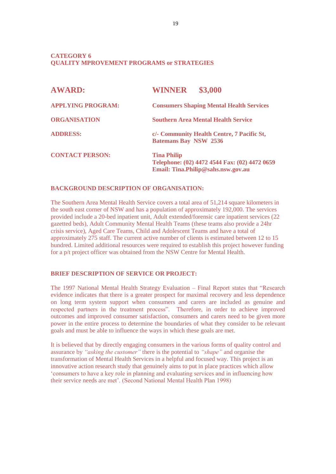#### **CATEGORY 6 QUALITY MPROVEMENT PROGRAMS or STRATEGIES**

| <b>AWARD:</b>            | \$3,000<br><b>WINNER</b>                                                                                  |
|--------------------------|-----------------------------------------------------------------------------------------------------------|
| <b>APPLYING PROGRAM:</b> | <b>Consumers Shaping Mental Health Services</b>                                                           |
| <b>ORGANISATION</b>      | <b>Southern Area Mental Health Service</b>                                                                |
| <b>ADDRESS:</b>          | c/- Community Health Centre, 7 Pacific St,<br><b>Batemans Bay NSW 2536</b>                                |
| <b>CONTACT PERSON:</b>   | <b>Tina Philip</b><br>Telephone: (02) 4472 4544 Fax: (02) 4472 0659<br>Email: Tina.Philip@sahs.nsw.gov.au |

#### **BACKGROUND DESCRIPTION OF ORGANISATION:**

The Southern Area Mental Health Service covers a total area of 51,214 square kilometers in the south east corner of NSW and has a population of approximately 192,000. The services provided include a 20-bed inpatient unit, Adult extended/forensic care inpatient services (22 gazetted beds), Adult Community Mental Health Teams (these teams also provide a 24hr crisis service), Aged Care Teams, Child and Adolescent Teams and have a total of approximately 275 staff. The current active number of clients is estimated between 12 to 15 hundred. Limited additional resources were required to establish this project however funding for a p/t project officer was obtained from the NSW Centre for Mental Health.

#### **BRIEF DESCRIPTION OF SERVICE OR PROJECT:**

The 1997 National Mental Health Strategy Evaluation – Final Report states that "Research evidence indicates that there is a greater prospect for maximal recovery and less dependence on long term system support when consumers and carers are included as genuine and respected partners in the treatment process". Therefore, in order to achieve improved outcomes and improved consumer satisfaction, consumers and carers need to be given more power in the entire process to determine the boundaries of what they consider to be relevant goals and must be able to influence the ways in which these goals are met.

It is believed that by directly engaging consumers in the various forms of quality control and assurance by *"asking the customer"* there is the potential to *"shape"* and organise the transformation of Mental Health Services in a helpful and focused way. This project is an innovative action research study that genuinely aims to put in place practices which allow 'consumers to have a key role in planning and evaluating services and in influencing how their service needs are met'. (Second National Mental Health Plan 1998)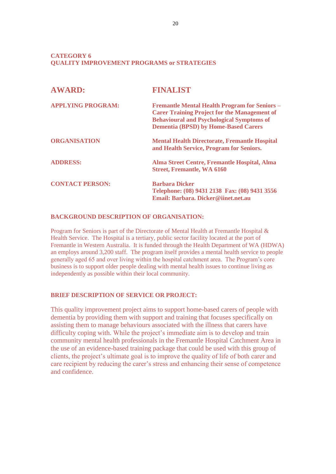#### **CATEGORY 6 QUALITY IMPROVEMENT PROGRAMS or STRATEGIES**

| <b>AWARD:</b>            | <b>FINALIST</b>                                                                                                                                                                                                |
|--------------------------|----------------------------------------------------------------------------------------------------------------------------------------------------------------------------------------------------------------|
| <b>APPLYING PROGRAM:</b> | <b>Fremantle Mental Health Program for Seniors -</b><br><b>Carer Training Project for the Management of</b><br><b>Behavioural and Psychological Symptoms of</b><br><b>Dementia (BPSD) by Home-Based Carers</b> |
| <b>ORGANISATION</b>      | <b>Mental Health Directorate, Fremantle Hospital</b><br>and Health Service, Program for Seniors.                                                                                                               |
| <b>ADDRESS:</b>          | Alma Street Centre, Fremantle Hospital, Alma<br><b>Street, Fremantle, WA 6160</b>                                                                                                                              |
| <b>CONTACT PERSON:</b>   | <b>Barbara Dicker</b><br>Telephone: (08) 9431 2138 Fax: (08) 9431 3556<br>Email: Barbara, Dicker@iinet.net.au                                                                                                  |

#### **BACKGROUND DESCRIPTION OF ORGANISATION:**

Program for Seniors is part of the Directorate of Mental Health at Fremantle Hospital & Health Service. The Hospital is a tertiary, public sector facility located at the port of Fremantle in Western Australia. It is funded through the Health Department of WA (HDWA) an employs around 3,200 staff. The program itself provides a mental health service to people generally aged 65 and over living within the hospital catchment area. The Program's core business is to support older people dealing with mental health issues to continue living as independently as possible within their local community.

#### **BRIEF DESCRIPTION OF SERVICE OR PROJECT:**

This quality improvement project aims to support home-based carers of people with dementia by providing them with support and training that focuses specifically on assisting them to manage behaviours associated with the illness that carers have difficulty coping with. While the project's immediate aim is to develop and train community mental health professionals in the Fremantle Hospital Catchment Area in the use of an evidence-based training package that could be used with this group of clients, the project's ultimate goal is to improve the quality of life of both carer and care recipient by reducing the carer's stress and enhancing their sense of competence and confidence.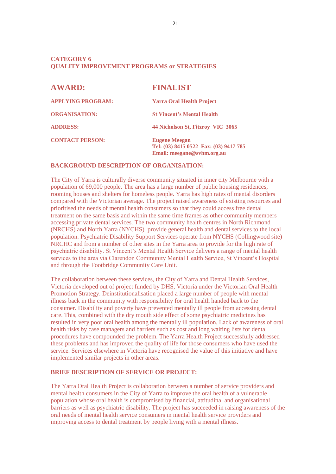#### **CATEGORY 6 QUALITY IMPROVEMENT PROGRAMS or STRATEGIES**

| <b>AWARD:</b>            | <b>FINALIST</b>                                                                              |
|--------------------------|----------------------------------------------------------------------------------------------|
| <b>APPLYING PROGRAM:</b> | <b>Yarra Oral Health Project</b>                                                             |
| <b>ORGANISATION:</b>     | <b>St Vincent's Mental Health</b>                                                            |
| <b>ADDRESS:</b>          | 44 Nicholson St, Fitzroy VIC 3065                                                            |
| <b>CONTACT PERSON:</b>   | <b>Eugene Meegan</b><br>Tel: (03) 8415 0522 Fax: (03) 9417 785<br>Email: meegane@svhm.org.au |

#### **BACKGROUND DESCRIPTION OF ORGANISATION:**

The City of Yarra is culturally diverse community situated in inner city Melbourne with a population of 69,000 people. The area has a large number of public housing residences, rooming houses and shelters for homeless people. Yarra has high rates of mental disorders compared with the Victorian average. The project raised awareness of existing resources and prioritised the needs of mental health consumers so that they could access free dental treatment on the same basis and within the same time frames as other community members accessing private dental services. The two community health centres in North Richmond (NRCHS) and North Yarra (NYCHS) provide general health and dental services to the local population. Psychiatric Disability Support Services operate from NYCHS (Collingwood site) NRCHC and from a number of other sites in the Yarra area to provide for the high rate of psychiatric disability. St Vincent's Mental Health Service delivers a range of mental health services to the area via Clarendon Community Mental Health Service, St Vincent's Hospital and through the Footbridge Community Care Unit.

The collaboration between these services, the City of Yarra and Dental Health Services, Victoria developed out of project funded by DHS, Victoria under the Victorian Oral Health Promotion Strategy. Deinstitutionalisation placed a large number of people with mental illness back in the community with responsibility for oral health handed back to the consumer. Disability and poverty have prevented mentally ill people from accessing dental care. This, combined with the dry mouth side effect of some psychiatric medicines has resulted in very poor oral health among the mentally ill population. Lack of awareness of oral health risks by case managers and barriers such as cost and long waiting lists for dental procedures have compounded the problem. The Yarra Health Project successfully addressed these problems and has improved the quality of life for those consumers who have used the service. Services elsewhere in Victoria have recognised the value of this initiative and have implemented similar projects in other areas.

### **BRIEF DESCRIPTION OF SERVICE OR PROJECT:**

The Yarra Oral Health Project is collaboration between a number of service providers and mental health consumers in the City of Yarra to improve the oral health of a vulnerable population whose oral health is compromised by financial, attitudinal and organisational barriers as well as psychiatric disability. The project has succeeded in raising awareness of the oral needs of mental health service consumers in mental health service providers and improving access to dental treatment by people living with a mental illness.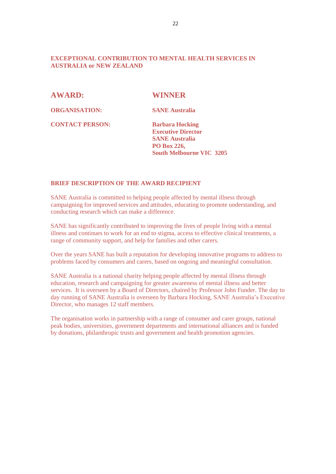#### **EXCEPTIONAL CONTRIBUTION TO MENTAL HEALTH SERVICES IN AUSTRALIA or NEW ZEALAND**

**AWARD: WINNER** 

**ORGANISATION: SANE Australia**

**CONTACT PERSON: Barbara Hocking** 

**Executive Director SANE Australia PO Box 226, South Melbourne VIC 3205**

#### **BRIEF DESCRIPTION OF THE AWARD RECIPIENT**

SANE Australia is committed to helping people affected by mental illness through campaigning for improved services and attitudes, educating to promote understanding, and conducting research which can make a difference.

SANE has significantly contributed to improving the lives of people living with a mental illness and continues to work for an end to stigma, access to effective clinical treatments, a range of community support, and help for families and other carers.

Over the years SANE has built a reputation for developing innovative programs to address to problems faced by consumers and carers, based on ongoing and meaningful consultation.

SANE Australia is a national charity helping people affected by mental illness through education, research and campaigning for greater awareness of mental illness and better services. It is overseen by a Board of Directors, chaired by Professor John Funder. The day to day running of SANE Australia is overseen by Barbara Hocking, SANE Australia's Executive Director, who manages 12 staff members.

The organisation works in partnership with a range of consumer and carer groups, national peak bodies, universities, government departments and international alliances and is funded by donations, philanthropic trusts and government and health promotion agencies.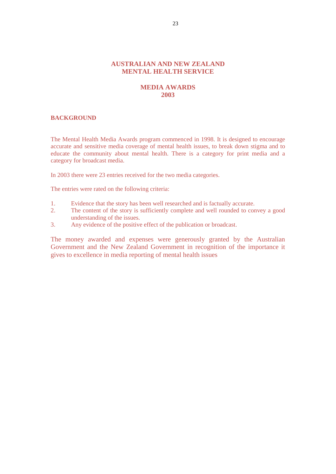#### **AUSTRALIAN AND NEW ZEALAND MENTAL HEALTH SERVICE**

#### **MEDIA AWARDS 2003**

#### **BACKGROUND**

The Mental Health Media Awards program commenced in 1998. It is designed to encourage accurate and sensitive media coverage of mental health issues, to break down stigma and to educate the community about mental health. There is a category for print media and a category for broadcast media.

In 2003 there were 23 entries received for the two media categories.

The entries were rated on the following criteria:

- 1. Evidence that the story has been well researched and is factually accurate.
- 2. The content of the story is sufficiently complete and well rounded to convey a good understanding of the issues.
- 3. Any evidence of the positive effect of the publication or broadcast.

The money awarded and expenses were generously granted by the Australian Government and the New Zealand Government in recognition of the importance it gives to excellence in media reporting of mental health issues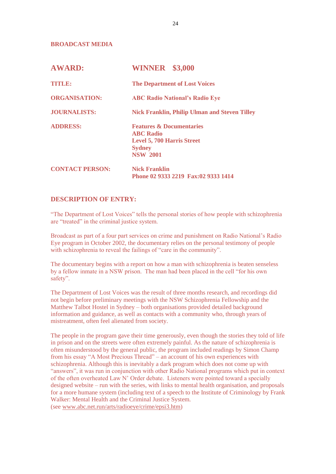**BROADCAST MEDIA**

| <b>AWARD:</b>          | <b>WINNER</b> \$3,000                                                                                                            |
|------------------------|----------------------------------------------------------------------------------------------------------------------------------|
| TITILE                 | <b>The Department of Lost Voices</b>                                                                                             |
| <b>ORGANISATION:</b>   | <b>ABC Radio National's Radio Eye</b>                                                                                            |
| <b>JOURNALISTS:</b>    | <b>Nick Franklin, Philip Ulman and Steven Tilley</b>                                                                             |
| <b>ADDRESS:</b>        | <b>Features &amp; Documentaries</b><br><b>ABC Radio</b><br><b>Level 5, 700 Harris Street</b><br><b>Sydney</b><br><b>NSW 2001</b> |
| <b>CONTACT PERSON:</b> | <b>Nick Franklin</b><br>Phone 02 9333 2219 Fax:02 9333 1414                                                                      |

#### **DESCRIPTION OF ENTRY:**

"The Department of Lost Voices" tells the personal stories of how people with schizophrenia are "treated" in the criminal justice system.

Broadcast as part of a four part services on crime and punishment on Radio National's Radio Eye program in October 2002, the documentary relies on the personal testimony of people with schizophrenia to reveal the failings of "care in the community".

The documentary begins with a report on how a man with schizophrenia is beaten senseless by a fellow inmate in a NSW prison. The man had been placed in the cell "for his own safety".

The Department of Lost Voices was the result of three months research, and recordings did not begin before preliminary meetings with the NSW Schizophrenia Fellowship and the Matthew Talbot Hostel in Sydney – both organisations provided detailed background information and guidance, as well as contacts with a community who, through years of mistreatment, often feel alienated from society.

The people in the program gave their time generously, even though the stories they told of life in prison and on the streets were often extremely painful. As the nature of schizophrenia is often misunderstood by the general public, the program included readings by Simon Champ from his essay "A Most Precious Thread" – an account of his own experiences with schizophrenia. Although this is inevitably a dark program which does not come up with "answers", it was run in conjunction with other Radio National programs which put in context of the often overheated Law N' Order debate. Listeners were pointed toward a specially designed website – run with the series, with links to mental health organisation, and proposals for a more humane system (including text of a speech to the Institute of Criminology by Frank Walker: Mental Health and the Criminal Justice System. (see [www.abc.net.run/arts/radioeye/crime/epsi3.htm\)](http://www.abc.net.run/arts/radioeye/crime/epsi3.htm)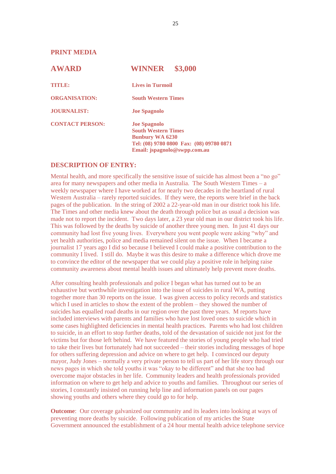**PRINT MEDIA** 

| <b>AWARD</b>           | \$3,000<br><b>WINNER</b>                                                                                                                                |
|------------------------|---------------------------------------------------------------------------------------------------------------------------------------------------------|
| <b>TIMER:</b>          | <b>Lives in Turmoil</b>                                                                                                                                 |
| <b>ORGANISATION:</b>   | <b>South Western Times</b>                                                                                                                              |
| <b>JOURNALIST:</b>     | <b>Joe Spagnolo</b>                                                                                                                                     |
| <b>CONTACT PERSON:</b> | <b>Joe Spagnolo</b><br><b>South Western Times</b><br><b>Bunbury WA 6230</b><br>Tel: (08) 9780 0800 Fax: (08) 09780 0871<br>Email: jspagnolo@swpp.com.au |

#### **DESCRIPTION OF ENTRY:**

Mental health, and more specifically the sensitive issue of suicide has almost been a "no go" area for many newspapers and other media in Australia. The South Western Times – a weekly newspaper where I have worked at for nearly two decades in the heartland of rural Western Australia – rarely reported suicides. If they were, the reports were brief in the back pages of the publication. In the string of 2002 a 22-year-old man in our district took his life. The Times and other media knew about the death through police but as usual a decision was made not to report the incident. Two days later, a 23 year old man in our district took his life. This was followed by the deaths by suicide of another three young men. In just 41 days our community had lost five young lives. Everywhere you went people were asking "why" and yet health authorities, police and media remained silent on the issue. When I became a journalist 17 years ago I did so because I believed I could make a positive contribution to the community I lived. I still do. Maybe it was this desire to make a difference which drove me to convince the editor of the newspaper that we could play a positive role in helping raise community awareness about mental health issues and ultimately help prevent more deaths.

After consulting health professionals and police I began what has turned out to be an exhaustive but worthwhile investigation into the issue of suicides in rural WA, putting together more than 30 reports on the issue. I was given access to policy records and statistics which I used in articles to show the extent of the problem – they showed the number of suicides has equalled road deaths in our region over the past three years. M reports have included interviews with parents and families who have lost loved ones to suicide which in some cases highlighted deficiencies in mental health practices. Parents who had lost children to suicide, in an effort to stop further deaths, told of the devastation of suicide not just for the victims but for those left behind. We have featured the stories of young people who had tried to take their lives but fortunately had not succeeded – their stories including messages of hope for others suffering depression and advice on where to get help. I convinced our deputy mayor, Judy Jones – normally a very private person to tell us part of her life story through our news pages in which she told youths it was "okay to be different" and that she too had overcome major obstacles in her life. Community leaders and health professionals provided information on where to get help and advice to youths and families. Throughout our series of stories, I constantly insisted on running help line and information panels on our pages showing youths and others where they could go to for help.

**Outcome**: Our coverage galvanized our community and its leaders into looking at ways of preventing more deaths by suicide. Following publication of my articles the State Government announced the establishment of a 24 hour mental health advice telephone service